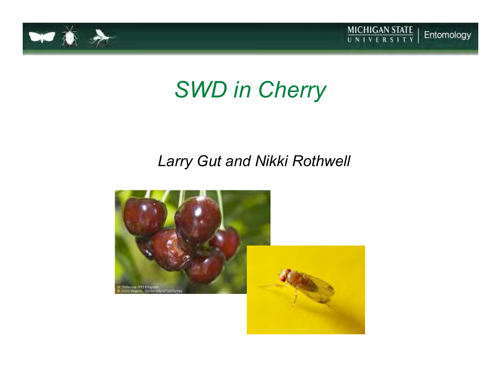



## *SWD in Cherry*

#### *Larry Gut and Nikki Rothwell*

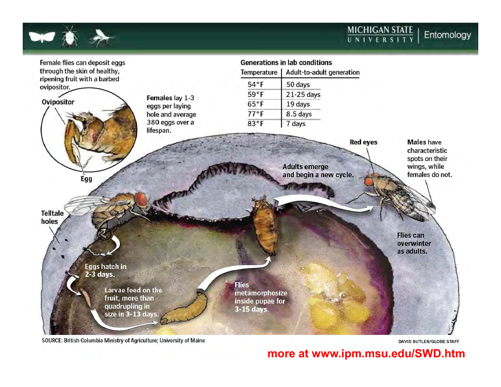**MICHIGAN STATE**<br>UNIVERSITY Entomology



SOURCE: British Columbia Ministry of Agriculture; University of Maine

**DAVID BUTLER/GLOBE STAFF** 

**more at www.ipm.msu.edu/SWD.htm**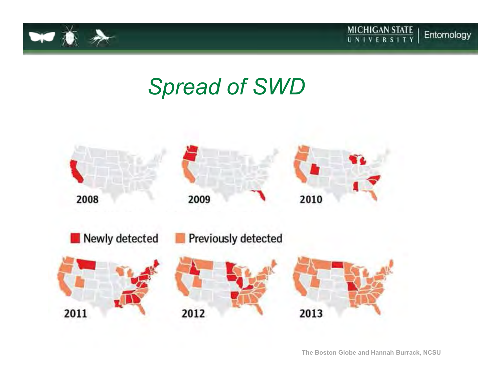



## *Spread of SWD*



**The Boston Globe and Hannah Burrack, NCSU**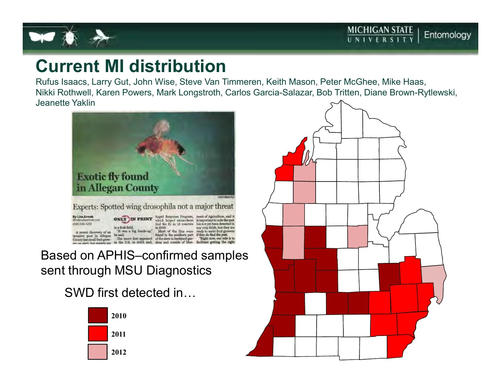

#### **Current MI distribution**

 Rufus Isaacs, Larry Gut, John Wise, Steve Van Timmeren, Keith Mason, Peter McGhee, Mike Haas, Nikki Rothwell, Karen Powers, Mark Longstroth, Carlos Garcia-Salazar, Bob Tritten, Diane Brown-Rytlewski, Jeanette Yaklin



Based on APHIS–confirmed samples sent through MSU Diagnostics

SWD first detected in



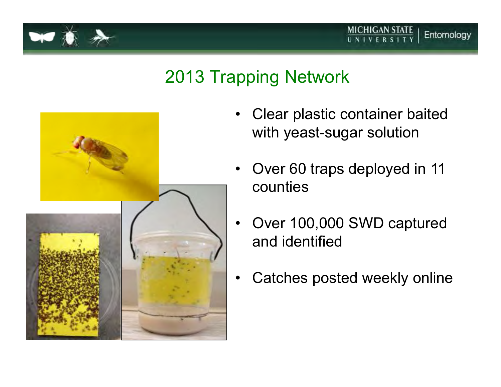

### 2013 Trapping Network



• Clear plastic container baited with yeast-sugar solution

MICHIGAN STATE

- $\bullet$  Over 60 traps deployed in 11 counties
- • Over 100,000 SWD captured and identified
- •Catches posted weekly online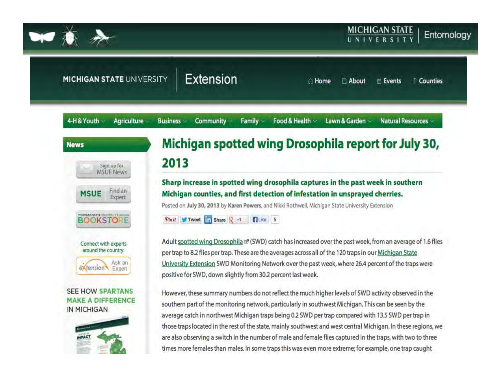

Extension **MICHIGAN STATE UNIVERSITY** About © Counties m Home **自 Events** 4-H&Youth Agriculture **Natural Resources Business** Community v Family Food & Health Lawn & Garden Michigan spotted wing Drosophila report for July 30, **News** 2013 Sign up for **MSUE News** Sharp increase in spotted wing drosophila captures in the past week in southern Find an **MSUE** Michigan counties, and first detection of infestation in unsprayed cherries. Expert Posted on July 30, 2013 by Karen Powers, and Nikki Rothwell, Michigan State University Extension **HICHIGAN STATE UNIVERSITY LEGI**  $9$ in it Tweet  $\frac{1}{11}$  Share  $\frac{1}{2}$  +1 **BOOKSTO** Like 5 Adult spotted wing Drosophila <a>
<a>
<a>
<a>
(SWD)</a>
catch has increased over the past week, from an average of 1.6 flies</a>
</a>
the past week, from an average of 1.6 flies Connect with experts around the country: per trap to 8.2 flies per trap. These are the averages across all of the 120 traps in our Michigan State University Extension SWD Monitoring Network over the past week, where 26.4 percent of the traps were Ask an extension Expert positive for SWD, down slightly from 30.2 percent last week. **SEE HOW SPARTANS** However, these summary numbers do not reflect the much higher levels of SWD activity observed in the **MAKE A DIFFERENCE** southern part of the monitoring network, particularly in southwest Michigan. This can be seen by the IN MICHIGAN average catch in northwest Michigan traps being 0.2 SWD per trap compared with 13.5 SWD per trap in those traps located in the rest of the state, mainly southwest and west central Michigan. In these regions, we are also observing a switch in the number of male and female flies captured in the traps, with two to three times more females than males. In some traps this was even more extreme; for example, one trap caught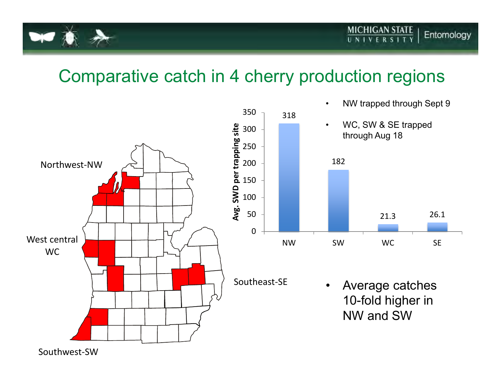

### Comparative catch in 4 cherry production regions

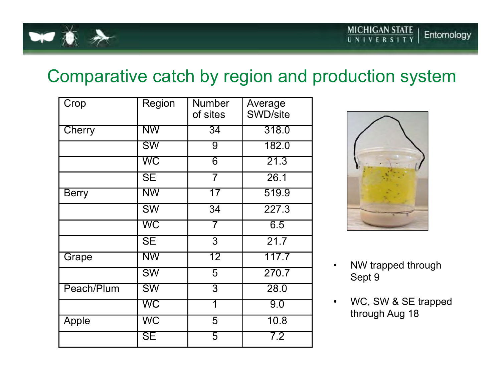

### Comparative catch by region and production system

| Crop         | Region                   | <b>Number</b><br>of sites | Average<br>SWD/site |
|--------------|--------------------------|---------------------------|---------------------|
| Cherry       | <b>NW</b>                | $\overline{34}$           | 318.0               |
|              | <b>SW</b>                | 9                         | 182.0               |
|              | WC                       | $\overline{6}$            | 21.3                |
|              | <b>SE</b>                | $\overline{7}$            | 26.1                |
| <b>Berry</b> | NW                       | 17                        | 519.9               |
|              | <b>SW</b>                | 34                        | 227.3               |
|              | WC                       | 7                         | 6.5                 |
|              | <b>SE</b>                | 3                         | $\overline{21.7}$   |
| Grape        | <b>NW</b>                | 12                        | 117.7               |
|              | SW                       | $\overline{5}$            | 270.7               |
| Peach/Plum   | <b>SW</b>                | $\overline{3}$            | 28.0                |
|              | WC                       | 1                         | 9.0                 |
| Apple        | <b>WC</b>                | 5                         | 10.8                |
|              | $\overline{\mathsf{SE}}$ | 5                         | 7.2                 |



- • NW trapped through Sept 9
- • WC, SW & SE trapped through Aug 18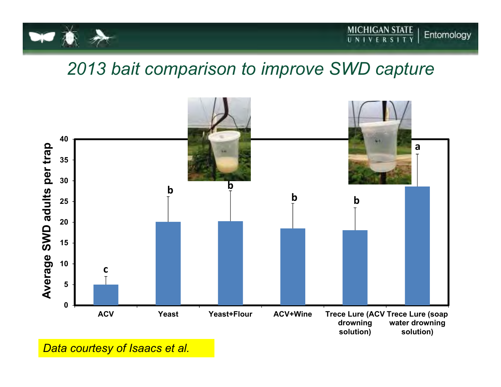

#### *2013 bait comparison to improve SWD capture*



*Data courtesy of Isaacs et al.*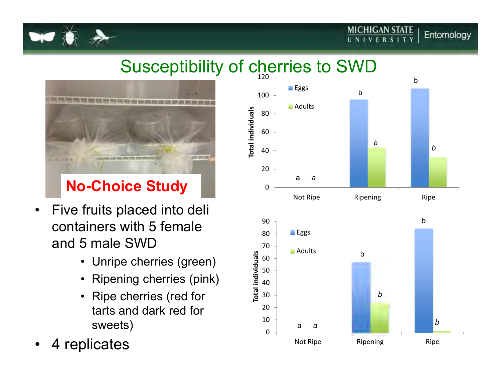## Susceptibility of cherries to SWD



- $\bullet$  Five fruits placed into deli containers with 5 female and 5 male SWD
	- Unripe cherries (green)
	- Ripening cherries (pink)
	- Ripe cherries (red for tarts and dark red for sweets)
- •4 replicates



**MICHIGAN STATE** 

UNIVERSI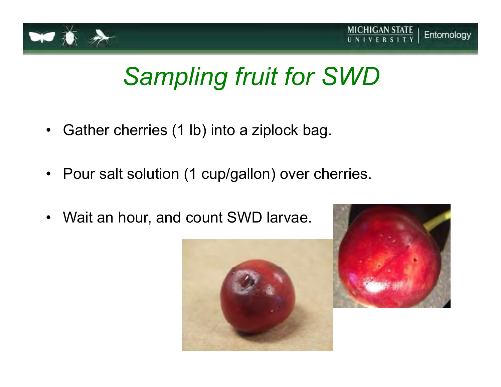



# *Sampling fruit for SWD*

- •Gather cherries (1 lb) into a ziplock bag.
- Pour salt solution (1 cup/gallon) over cherries.
- •Wait an hour, and count SWD larvae.



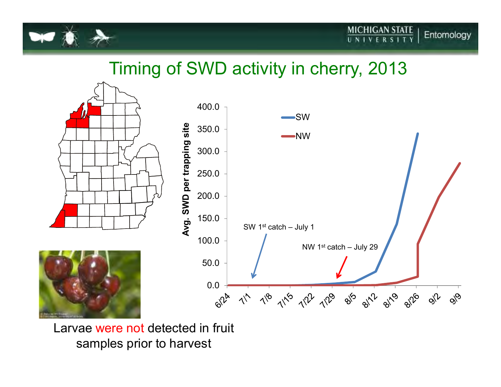

#### Timing of SWD activity in cherry, 2013



Larvae were not detected in fruit samples prior to harvest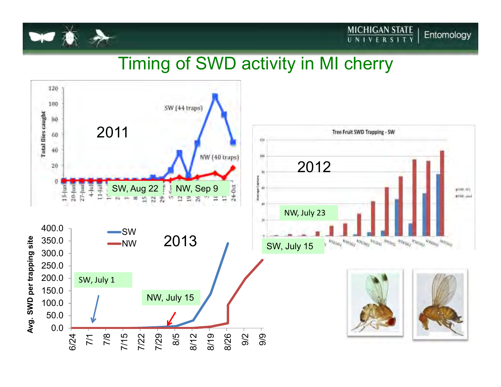

#### Timing of SWD activity in MI cherry

 $\frac{\text{MICHIGAN STATE}}{\text{UNIVERSITY}}$ 

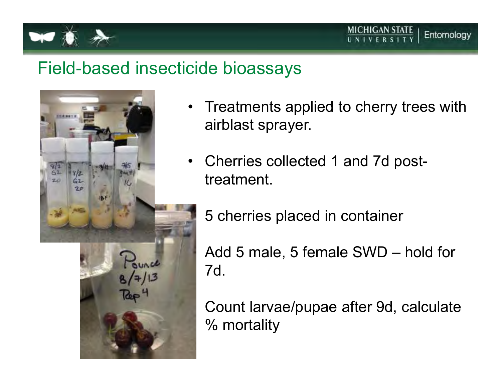

#### Field-based insecticide bioassays

•



- $\bullet$  Treatments applied to cherry trees with airblast sprayer.
- • Cherries collected 1 and 7d posttreatment.
	- 5 cherries placed in container

 Add 5 male, 5 female SWD – hold for 7d.

 Count larvae/pupae after 9d, calculate % mortality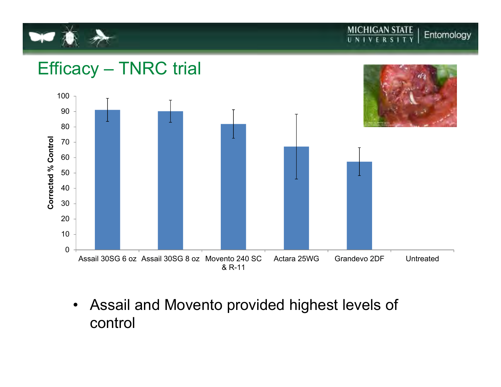

**MICHIGAN STATE**<br>UNIVERSITY Entomology



 $\bullet$  Assail and Movento provided highest levels of control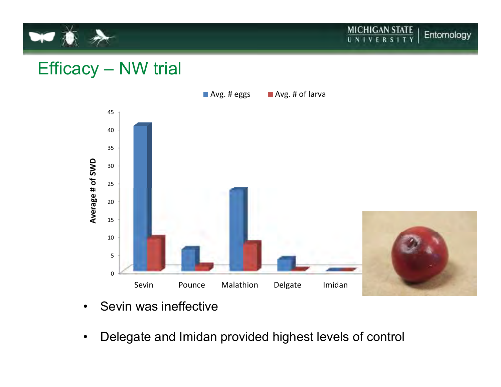

 $\frac{\text{MICHIGAN STATE}}{\text{UNIVERSITY}}$ Entomology

#### Efficacy – NW trial



- •Sevin was ineffective
- $\bullet$ Delegate and Imidan provided highest levels of control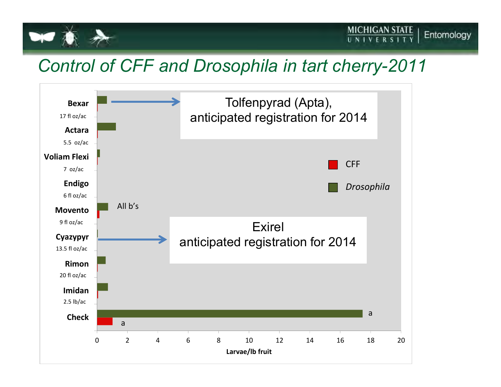

#### *Control of CFF and Drosophila in tart cherry-2011*

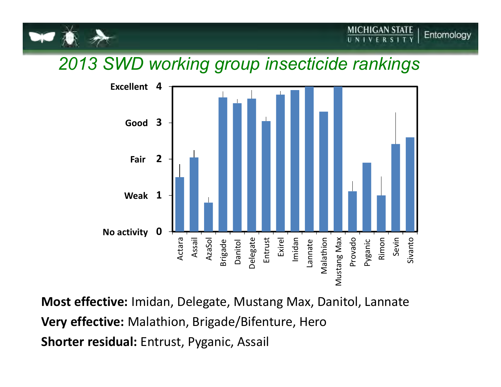

#### *2013 SWD working group insecticide rankings*



**Most effective:** Imidan, Delegate, Mustang Max, Danitol, Lannate**Very effective:** Malathion, Brigade/Bifenture, Hero**Shorter residual:** Entrust, Pyganic, Assail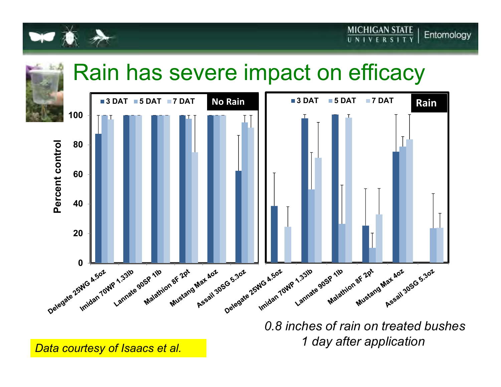

## Rain has severe impact on efficacy



*0.8 inches of rain on treated bushes1 day after application Data courtesy of Isaacs et al.*

**MICHIGAN STATE**<br>UNIVERSITY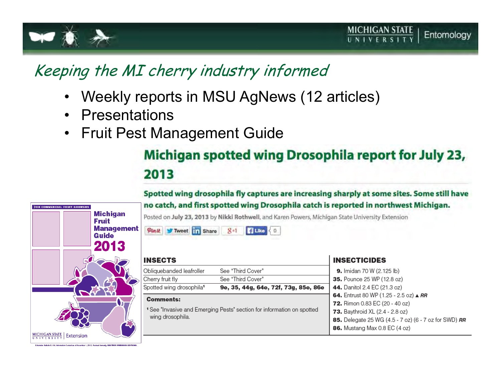



#### Keeping the MI cherry industry informed

- •Weekly reports in MSU AgNews (12 articles)
- $\bullet$ **Presentations**
- $\bullet$

# Fruit Pest Management Guide<br>Michigan spotted wing Drosophila report for July 23, 2013

#### Spotted wing drosophila fly captures are increasing sharply at some sites. Some still have no catch, and first spotted wing Drosophila catch is reported in northwest Michigan.



Posted on July 23, 2013 by Nikki Rothwell, and Karen Powers, Michigan State University Extension

Pintt Tweet 11 Share  $8*1$ **B** Like  $O$ 

| <b>INSECTS</b>                                                                                        |                                      | <b>INSECTICIDES</b>                                                                |  |
|-------------------------------------------------------------------------------------------------------|--------------------------------------|------------------------------------------------------------------------------------|--|
| Obliquebanded leafroller                                                                              | See "Third Cover"                    | 9. Imidan 70 W (2.125 lb)                                                          |  |
| Cherry fruit fly                                                                                      | See "Third Cover"                    | <b>35.</b> Pounce 25 WP (12.8 oz)                                                  |  |
| Spotted wing drosophila <sup>1</sup>                                                                  | 9e, 35, 44g, 64e, 72f, 73g, 85e, 86e | 44. Danitol 2.4 EC (21.3 oz)                                                       |  |
| <b>Comments:</b>                                                                                      |                                      | 64. Entrust 80 WP (1.25 - 2.5 oz) $\triangle$ RR<br>72. Rimon 0.83 EC (20 - 40 oz) |  |
| <sup>1</sup> See "Invasive and Emerging Pests" section for information on spotted<br>wing drosophila. |                                      | <b>73.</b> Baythroid XL (2.4 - 2.8 oz)                                             |  |
|                                                                                                       |                                      | 85. Delegate 25 WG (4.5 - 7 oz) (6 - 7 oz for SWD) RR                              |  |
|                                                                                                       |                                      | 86. Mustang Max 0.8 EC (4 oz)                                                      |  |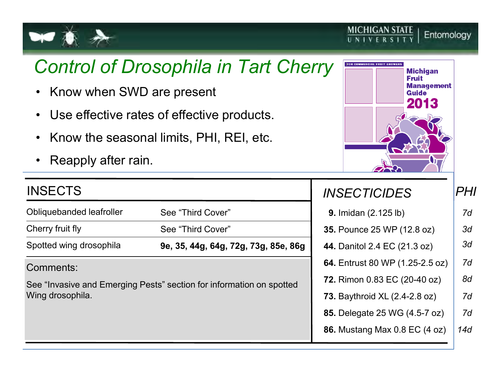

### *Control of Drosophila in Tart Cherry*

- $\bullet$ Know when SWD are present
- •Use effective rates of effective products.
- •Know the seasonal limits, PHI, REI, etc.
- •Reapply after rain.

#### INSECTS

Obliquebanded leafroller

Cherry fruit fly

Spotted wing drosophila

See "Third Cover"See "Third Cover"

**9e, 35, 44g, 64g, 72g, 73g, 85e, 86g** 

#### Comments:

See "Invasive and Emerging Pests" section for information on spottedWing drosophila.



**MICHIGAN STATE** 

UNIVERS

Entomology

#### **9.** Imidan (2.125 lb)**35.** Pounce 25 WP (12.8 oz)**44.** Danitol 2.4 EC (21.3 oz)**64.** Entrust 80 WP (1.25-2.5 oz)**72.** Rimon 0.83 EC (20-40 oz)**73.** Baythroid XL (2.4-2.8 oz)**85.** Delegate 25 WG (4.5-7 oz)**86.** Mustang Max 0.8 EC (4 oz) *INSECTICIDES PHI 7d7d7d7d14d8d3d3d*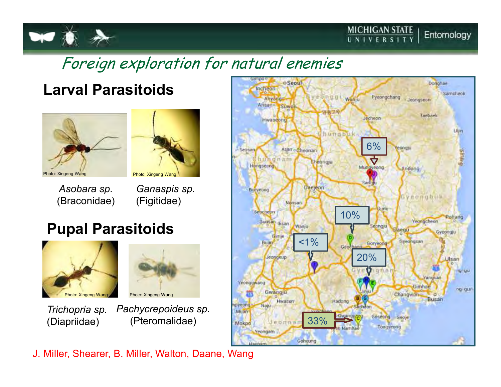

#### Foreign exploration for natural enemies

#### **Larval Parasitoids**





Photo: Xingeng Wang

*Asobara sp.*(Braconidae) *Ganaspis sp.*(Figitidae)

#### **Pupal Parasitoids**





*Trichopria sp.*(Diapriidae)

*Pachycrepoideus sp.*(Pteromalidae)

J. Miller, Shearer, B. Miller, Walton, Daane, Wang

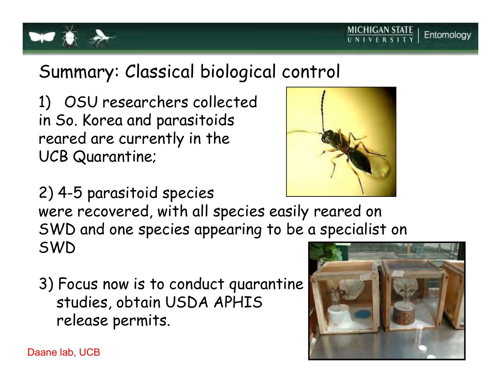

### Summary: Classical biological control

1) OSU researchers collectedin So. Korea and parasitoids reared are currently in the UCB Quarantine;



2) 4-5 parasitoid species were recovered, with all species easily reared on SWD and one species appearing to be a specialist on SWD

3) Focus now is to conduct quarantinestudies, obtain USDA APHISrelease permits.



MICHIGAN STATE